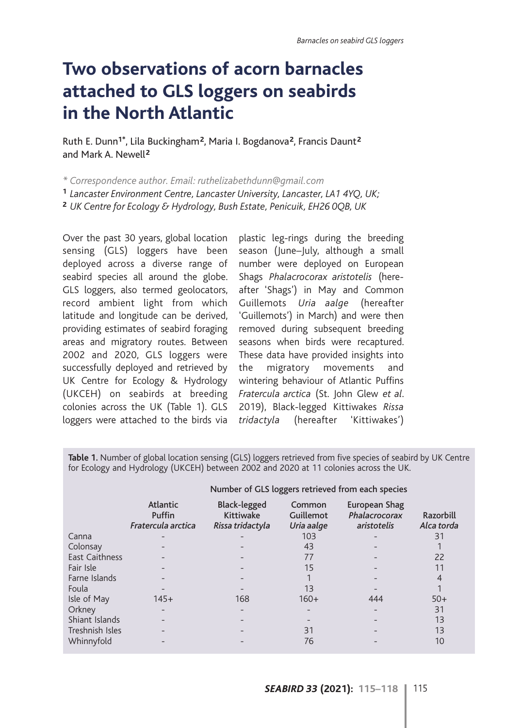## **Two observations of acorn barnacles attached to GLS loggers on seabirds in the North Atlantic**

Ruth E. Dunn**1\***, Lila Buckingham**<sup>2</sup>**, Maria I. Bogdanova**<sup>2</sup>**, Francis Daunt**<sup>2</sup>** and Mark A. Newell**<sup>2</sup>**

*\* Correspondence author. Email: ruthelizabethdunn@gmail.com*

**<sup>1</sup>** *Lancaster Environment Centre, Lancaster University, Lancaster, LA1 4YQ, UK;*

**<sup>2</sup>** *UK Centre for Ecology & Hydrology, Bush Estate, Penicuik, EH26 0QB, UK*

Over the past 30 years, global location sensing (GLS) loggers have been deployed across a diverse range of seabird species all around the globe. GLS loggers, also termed geolocators, record ambient light from which latitude and longitude can be derived, providing estimates of seabird foraging areas and migratory routes. Between 2002 and 2020, GLS loggers were successfully deployed and retrieved by UK Centre for Ecology & Hydrology (UKCEH) on seabirds at breeding colonies across the UK (Table 1). GLS loggers were attached to the birds via

plastic leg-rings during the breeding season (June–July, although a small number were deployed on European Shags *Phalacrocorax aristotelis* (hereafter 'Shags') in May and Common Guillemots *Uria aalge* (hereafter 'Guillemots') in March) and were then removed during subsequent breeding seasons when birds were recaptured. These data have provided insights into the migratory movements and wintering behaviour of Atlantic Puffins *Fratercula arctica* (St. John Glew *et al*. 2019), Black-legged Kittiwakes *Rissa tridactyla* (hereafter 'Kittiwakes')

**Table 1.** Number of global location sensing (GLS) loggers retrieved from five species of seabird by UK Centre for Ecology and Hydrology (UKCEH) between 2002 and 2020 at 11 colonies across the UK.

|                       | Number of GLS loggers retrieved from each species |                                                             |                                   |                                               |                         |
|-----------------------|---------------------------------------------------|-------------------------------------------------------------|-----------------------------------|-----------------------------------------------|-------------------------|
|                       | <b>Atlantic</b><br>Puffin<br>Fratercula arctica   | <b>Black-legged</b><br><b>Kittiwake</b><br>Rissa tridactyla | Common<br>Guillemot<br>Uria aalge | European Shag<br>Phalacrocorax<br>aristotelis | Razorbill<br>Alca torda |
| Canna                 |                                                   |                                                             | 103                               |                                               | 31                      |
| Colonsay              |                                                   |                                                             | 43                                |                                               |                         |
| <b>East Caithness</b> |                                                   |                                                             | 77                                |                                               | 22                      |
| Fair Isle             |                                                   |                                                             | 15                                |                                               | 11                      |
| Farne Islands         |                                                   |                                                             |                                   |                                               | 4                       |
| Foula                 |                                                   |                                                             | 13                                |                                               |                         |
| Isle of May           | $145+$                                            | 168                                                         | $160+$                            | 444                                           | $50+$                   |
| Orkney                |                                                   |                                                             |                                   |                                               | 31                      |
| Shiant Islands        |                                                   |                                                             |                                   |                                               | 13                      |
| Treshnish Isles       |                                                   |                                                             | 31                                |                                               | 13                      |
| Whinnyfold            |                                                   |                                                             | 76                                |                                               | 10                      |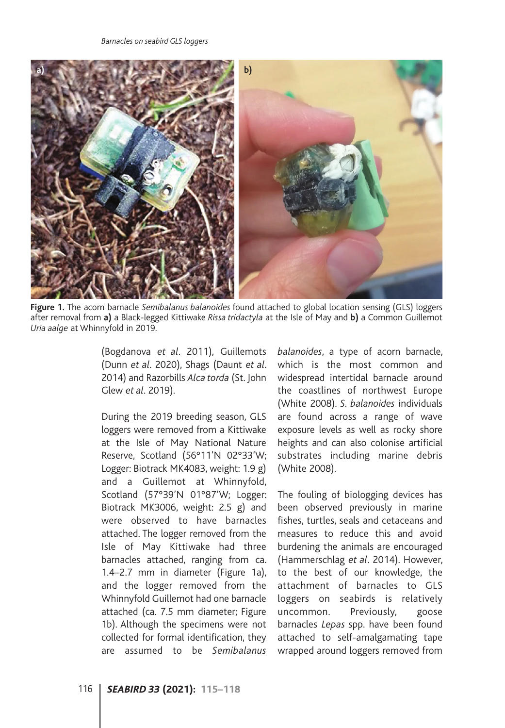

**Figure 1.** The acorn barnacle *Semibalanus balanoides* found attached to global location sensing (GLS) loggers after removal from **a)** a Black-legged Kittiwake *Rissa tridactyla* at the Isle of May and **b)** a Common Guillemot *Uria aalge* at Whinnyfold in 2019.

(Bogdanova *et al*. 2011), Guillemots (Dunn *et al*. 2020), Shags (Daunt *et al*. 2014) and Razorbills *Alca torda* (St. John Glew *et al*. 2019).

During the 2019 breeding season, GLS loggers were removed from a Kittiwake at the Isle of May National Nature Reserve, Scotland (56°11'N 02°33'W; Logger: Biotrack MK4083, weight: 1.9 g) and a Guillemot at Whinnyfold, Scotland (57°39'N 01°87'W; Logger: Biotrack MK3006, weight: 2.5 g) and were observed to have barnacles attached. The logger removed from the Isle of May Kittiwake had three barnacles attached, ranging from ca. 1.4–2.7 mm in diameter (Figure 1a), and the logger removed from the Whinnyfold Guillemot had one barnacle attached (ca. 7.5 mm diameter; Figure 1b). Although the specimens were not collected for formal identification, they are assumed to be *Semibalanus*

*balanoides*, a type of acorn barnacle, which is the most common and widespread intertidal barnacle around the coastlines of northwest Europe (White 2008). *S. balanoides* individuals are found across a range of wave exposure levels as well as rocky shore heights and can also colonise artificial substrates including marine debris (White 2008).

The fouling of biologging devices has been observed previously in marine fishes, turtles, seals and cetaceans and measures to reduce this and avoid burdening the animals are encouraged (Hammerschlag *et al*. 2014). However, to the best of our knowledge, the attachment of barnacles to GLS loggers on seabirds is relatively uncommon. Previously, goose barnacles *Lepas* spp. have been found attached to self-amalgamating tape wrapped around loggers removed from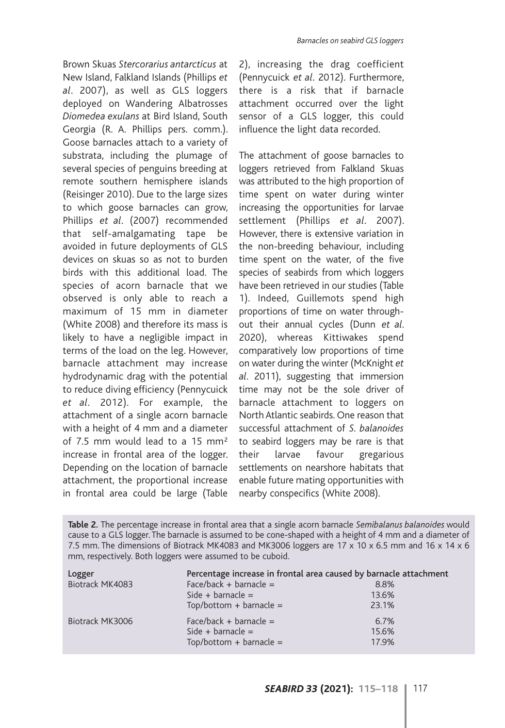Brown Skuas *Stercorarius antarcticus* at New Island, Falkland Islands (Phillips *et al*. 2007), as well as GLS loggers deployed on Wandering Albatrosses *Diomedea exulans* at Bird Island, South Georgia (R. A. Phillips pers. comm.). Goose barnacles attach to a variety of substrata, including the plumage of several species of penguins breeding at remote southern hemisphere islands (Reisinger 2010). Due to the large sizes to which goose barnacles can grow, Phillips *et al*. (2007) recommended that self-amalgamating tape be avoided in future deployments of GLS devices on skuas so as not to burden birds with this additional load. The species of acorn barnacle that we observed is only able to reach a maximum of 15 mm in diameter (White 2008) and therefore its mass is likely to have a negligible impact in terms of the load on the leg. However, barnacle attachment may increase hydrodynamic drag with the potential to reduce diving efficiency (Pennycuick *et al*. 2012). For example, the attachment of a single acorn barnacle with a height of 4 mm and a diameter of 7.5 mm would lead to a 15 mm<sup>2</sup> increase in frontal area of the logger. Depending on the location of barnacle attachment, the proportional increase in frontal area could be large (Table

2), increasing the drag coefficient (Pennycuick *et al*. 2012). Furthermore, there is a risk that if barnacle attachment occurred over the light sensor of a GLS logger, this could influence the light data recorded.

The attachment of goose barnacles to loggers retrieved from Falkland Skuas was attributed to the high proportion of time spent on water during winter increasing the opportunities for larvae settlement (Phillips *et al*. 2007). However, there is extensive variation in the non-breeding behaviour, including time spent on the water, of the five species of seabirds from which loggers have been retrieved in our studies (Table 1). Indeed, Guillemots spend high proportions of time on water throughout their annual cycles (Dunn *et al*. 2020), whereas Kittiwakes spend comparatively low proportions of time on water during the winter (McKnight *et al*. 2011), suggesting that immersion time may not be the sole driver of barnacle attachment to loggers on North Atlantic seabirds. One reason that successful attachment of *S. balanoides* to seabird loggers may be rare is that their larvae favour gregarious settlements on nearshore habitats that enable future mating opportunities with nearby conspecifics (White 2008).

**Table 2.** The percentage increase in frontal area that a single acorn barnacle *Semibalanus balanoides* would cause to a GLS logger. The barnacle is assumed to be cone-shaped with a height of 4 mm and a diameter of 7.5 mm. The dimensions of Biotrack MK4083 and MK3006 loggers are 17 x 10 x 6.5 mm and 16 x 14 x 6 mm, respectively. Both loggers were assumed to be cuboid.

| Logger          | Percentage increase in frontal area caused by barnacle attachment |       |
|-----------------|-------------------------------------------------------------------|-------|
| Biotrack MK4083 | Face/back + barnacle =                                            | 8.8%  |
|                 | Side + barnacle =                                                 | 13.6% |
|                 | $Top/bottom + barnacle =$                                         | 23.1% |
| Biotrack MK3006 | Face/back + barnacle =                                            | 6.7%  |
|                 | Side + barnacle =                                                 | 15.6% |
|                 | $Top/bottom + barnacle =$                                         | 17.9% |